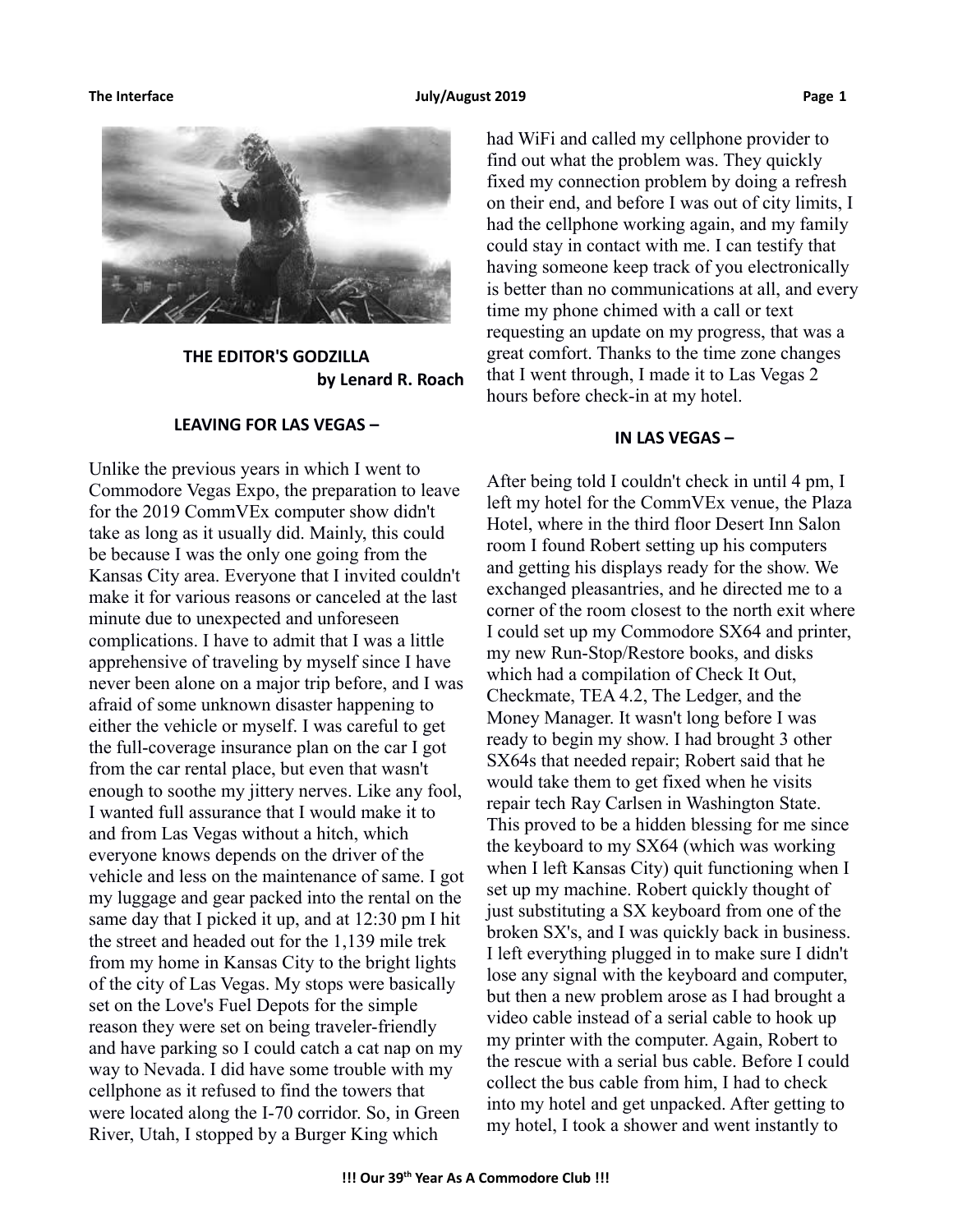**The Interface The Construction Construction Construction Construction Page 1** and Page 1



**THE EDITOR'S GODZILLA by Lenard R. Roach**

#### **LEAVING FOR LAS VEGAS –**

Unlike the previous years in which I went to Commodore Vegas Expo, the preparation to leave for the 2019 CommVEx computer show didn't take as long as it usually did. Mainly, this could be because I was the only one going from the Kansas City area. Everyone that I invited couldn't make it for various reasons or canceled at the last minute due to unexpected and unforeseen complications. I have to admit that I was a little apprehensive of traveling by myself since I have never been alone on a major trip before, and I was afraid of some unknown disaster happening to either the vehicle or myself. I was careful to get the full-coverage insurance plan on the car I got from the car rental place, but even that wasn't enough to soothe my jittery nerves. Like any fool, I wanted full assurance that I would make it to and from Las Vegas without a hitch, which everyone knows depends on the driver of the vehicle and less on the maintenance of same. I got my luggage and gear packed into the rental on the same day that I picked it up, and at 12:30 pm I hit the street and headed out for the 1,139 mile trek from my home in Kansas City to the bright lights of the city of Las Vegas. My stops were basically set on the Love's Fuel Depots for the simple reason they were set on being traveler-friendly and have parking so I could catch a cat nap on my way to Nevada. I did have some trouble with my cellphone as it refused to find the towers that were located along the I-70 corridor. So, in Green River, Utah, I stopped by a Burger King which

had WiFi and called my cellphone provider to find out what the problem was. They quickly fixed my connection problem by doing a refresh on their end, and before I was out of city limits, I had the cellphone working again, and my family could stay in contact with me. I can testify that having someone keep track of you electronically is better than no communications at all, and every time my phone chimed with a call or text requesting an update on my progress, that was a great comfort. Thanks to the time zone changes that I went through, I made it to Las Vegas 2 hours before check-in at my hotel.

### **IN LAS VEGAS –**

After being told I couldn't check in until 4 pm, I left my hotel for the CommVEx venue, the Plaza Hotel, where in the third floor Desert Inn Salon room I found Robert setting up his computers and getting his displays ready for the show. We exchanged pleasantries, and he directed me to a corner of the room closest to the north exit where I could set up my Commodore SX64 and printer, my new Run-Stop/Restore books, and disks which had a compilation of Check It Out, Checkmate, TEA 4.2, The Ledger, and the Money Manager. It wasn't long before I was ready to begin my show. I had brought 3 other SX64s that needed repair; Robert said that he would take them to get fixed when he visits repair tech Ray Carlsen in Washington State. This proved to be a hidden blessing for me since the keyboard to my SX64 (which was working when I left Kansas City) quit functioning when I set up my machine. Robert quickly thought of just substituting a SX keyboard from one of the broken SX's, and I was quickly back in business. I left everything plugged in to make sure I didn't lose any signal with the keyboard and computer, but then a new problem arose as I had brought a video cable instead of a serial cable to hook up my printer with the computer. Again, Robert to the rescue with a serial bus cable. Before I could collect the bus cable from him, I had to check into my hotel and get unpacked. After getting to my hotel, I took a shower and went instantly to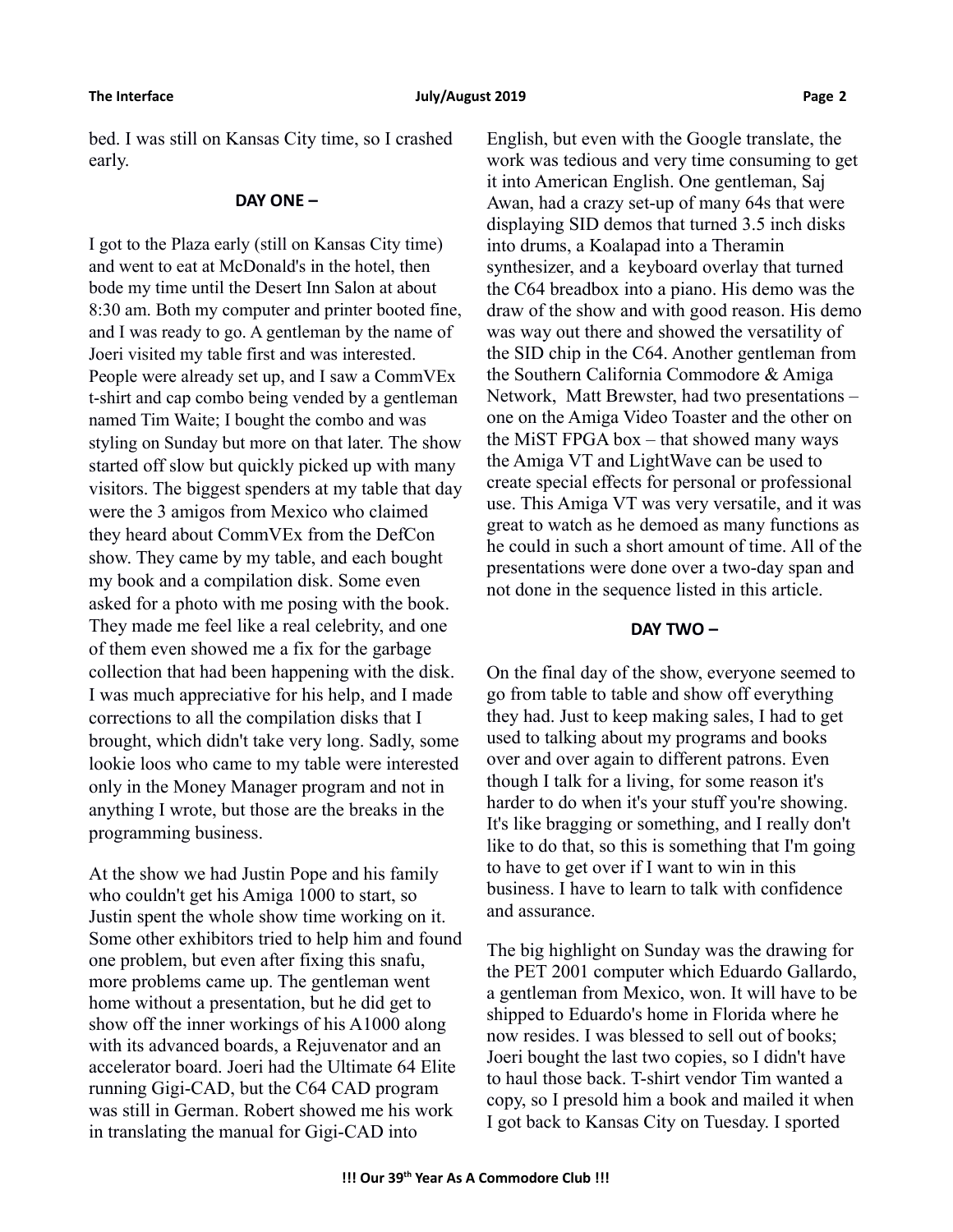bed. I was still on Kansas City time, so I crashed early.

#### **DAY ONE –**

I got to the Plaza early (still on Kansas City time) and went to eat at McDonald's in the hotel, then bode my time until the Desert Inn Salon at about 8:30 am. Both my computer and printer booted fine, and I was ready to go. A gentleman by the name of Joeri visited my table first and was interested. People were already set up, and I saw a CommVEx t-shirt and cap combo being vended by a gentleman named Tim Waite; I bought the combo and was styling on Sunday but more on that later. The show started off slow but quickly picked up with many visitors. The biggest spenders at my table that day were the 3 amigos from Mexico who claimed they heard about CommVEx from the DefCon show. They came by my table, and each bought my book and a compilation disk. Some even asked for a photo with me posing with the book. They made me feel like a real celebrity, and one of them even showed me a fix for the garbage collection that had been happening with the disk. I was much appreciative for his help, and I made corrections to all the compilation disks that I brought, which didn't take very long. Sadly, some lookie loos who came to my table were interested only in the Money Manager program and not in anything I wrote, but those are the breaks in the programming business.

At the show we had Justin Pope and his family who couldn't get his Amiga 1000 to start, so Justin spent the whole show time working on it. Some other exhibitors tried to help him and found one problem, but even after fixing this snafu, more problems came up. The gentleman went home without a presentation, but he did get to show off the inner workings of his A1000 along with its advanced boards, a Rejuvenator and an accelerator board. Joeri had the Ultimate 64 Elite running Gigi-CAD, but the C64 CAD program was still in German. Robert showed me his work in translating the manual for Gigi-CAD into

English, but even with the Google translate, the work was tedious and very time consuming to get it into American English. One gentleman, Saj Awan, had a crazy set-up of many 64s that were displaying SID demos that turned 3.5 inch disks into drums, a Koalapad into a Theramin synthesizer, and a keyboard overlay that turned the C64 breadbox into a piano. His demo was the draw of the show and with good reason. His demo was way out there and showed the versatility of the SID chip in the C64. Another gentleman from the Southern California Commodore & Amiga Network, Matt Brewster, had two presentations – one on the Amiga Video Toaster and the other on the MiST FPGA box – that showed many ways the Amiga VT and LightWave can be used to create special effects for personal or professional use. This Amiga VT was very versatile, and it was great to watch as he demoed as many functions as he could in such a short amount of time. All of the presentations were done over a two-day span and not done in the sequence listed in this article.

#### **DAY TWO –**

On the final day of the show, everyone seemed to go from table to table and show off everything they had. Just to keep making sales, I had to get used to talking about my programs and books over and over again to different patrons. Even though I talk for a living, for some reason it's harder to do when it's your stuff you're showing. It's like bragging or something, and I really don't like to do that, so this is something that I'm going to have to get over if I want to win in this business. I have to learn to talk with confidence and assurance.

The big highlight on Sunday was the drawing for the PET 2001 computer which Eduardo Gallardo, a gentleman from Mexico, won. It will have to be shipped to Eduardo's home in Florida where he now resides. I was blessed to sell out of books; Joeri bought the last two copies, so I didn't have to haul those back. T-shirt vendor Tim wanted a copy, so I presold him a book and mailed it when I got back to Kansas City on Tuesday. I sported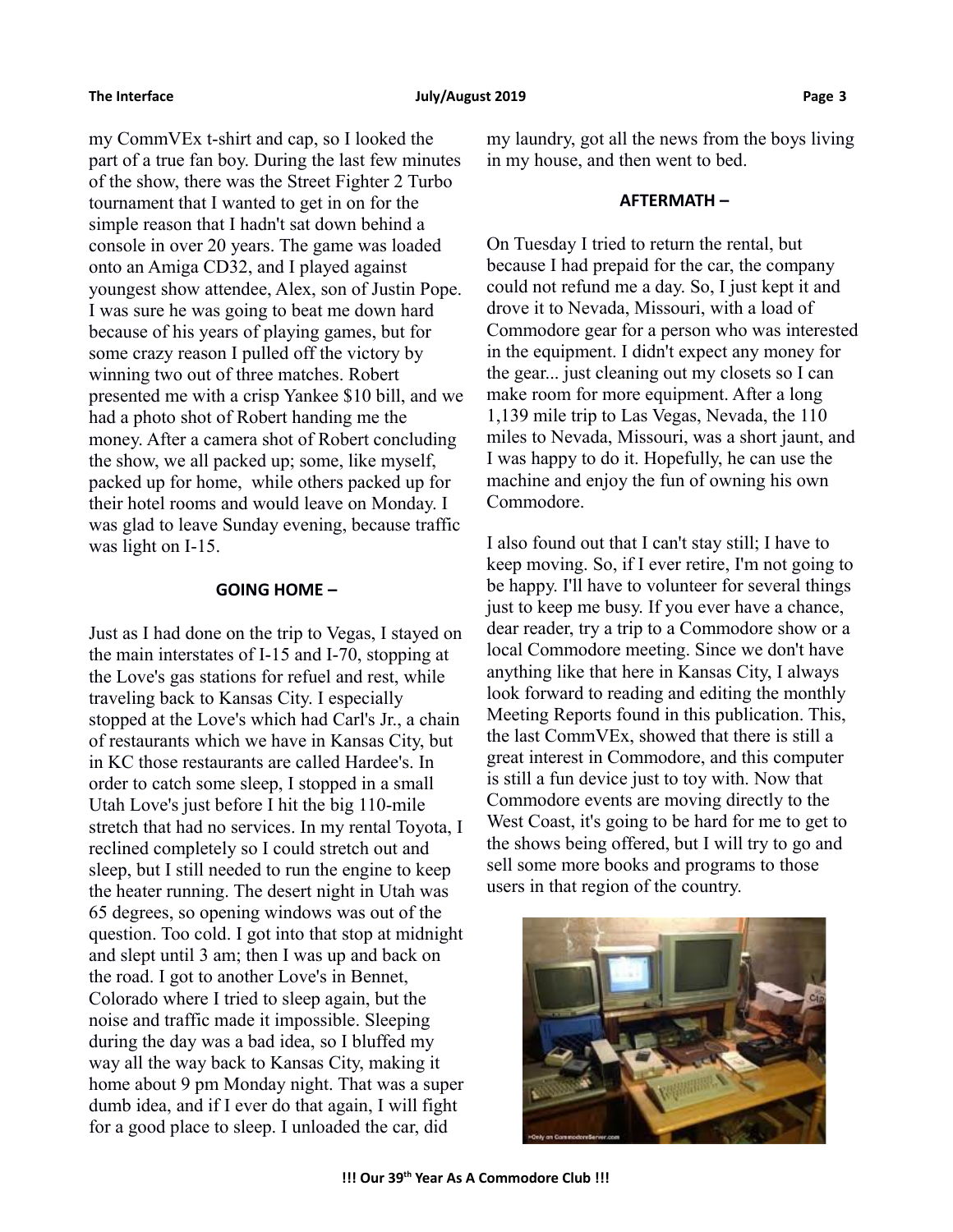my CommVEx t-shirt and cap, so I looked the part of a true fan boy. During the last few minutes of the show, there was the Street Fighter 2 Turbo tournament that I wanted to get in on for the simple reason that I hadn't sat down behind a console in over 20 years. The game was loaded onto an Amiga CD32, and I played against youngest show attendee, Alex, son of Justin Pope. I was sure he was going to beat me down hard because of his years of playing games, but for some crazy reason I pulled off the victory by winning two out of three matches. Robert presented me with a crisp Yankee \$10 bill, and we had a photo shot of Robert handing me the money. After a camera shot of Robert concluding the show, we all packed up; some, like myself, packed up for home, while others packed up for their hotel rooms and would leave on Monday. I was glad to leave Sunday evening, because traffic was light on I-15.

### **GOING HOME –**

Just as I had done on the trip to Vegas, I stayed on the main interstates of I-15 and I-70, stopping at the Love's gas stations for refuel and rest, while traveling back to Kansas City. I especially stopped at the Love's which had Carl's Jr., a chain of restaurants which we have in Kansas City, but in KC those restaurants are called Hardee's. In order to catch some sleep, I stopped in a small Utah Love's just before I hit the big 110-mile stretch that had no services. In my rental Toyota, I reclined completely so I could stretch out and sleep, but I still needed to run the engine to keep the heater running. The desert night in Utah was 65 degrees, so opening windows was out of the question. Too cold. I got into that stop at midnight and slept until 3 am; then I was up and back on the road. I got to another Love's in Bennet, Colorado where I tried to sleep again, but the noise and traffic made it impossible. Sleeping during the day was a bad idea, so I bluffed my way all the way back to Kansas City, making it home about 9 pm Monday night. That was a super dumb idea, and if I ever do that again, I will fight for a good place to sleep. I unloaded the car, did

my laundry, got all the news from the boys living in my house, and then went to bed.

#### **AFTERMATH –**

On Tuesday I tried to return the rental, but because I had prepaid for the car, the company could not refund me a day. So, I just kept it and drove it to Nevada, Missouri, with a load of Commodore gear for a person who was interested in the equipment. I didn't expect any money for the gear... just cleaning out my closets so I can make room for more equipment. After a long 1,139 mile trip to Las Vegas, Nevada, the 110 miles to Nevada, Missouri, was a short jaunt, and I was happy to do it. Hopefully, he can use the machine and enjoy the fun of owning his own Commodore.

I also found out that I can't stay still; I have to keep moving. So, if I ever retire, I'm not going to be happy. I'll have to volunteer for several things just to keep me busy. If you ever have a chance, dear reader, try a trip to a Commodore show or a local Commodore meeting. Since we don't have anything like that here in Kansas City, I always look forward to reading and editing the monthly Meeting Reports found in this publication. This, the last CommVEx, showed that there is still a great interest in Commodore, and this computer is still a fun device just to toy with. Now that Commodore events are moving directly to the West Coast, it's going to be hard for me to get to the shows being offered, but I will try to go and sell some more books and programs to those users in that region of the country.

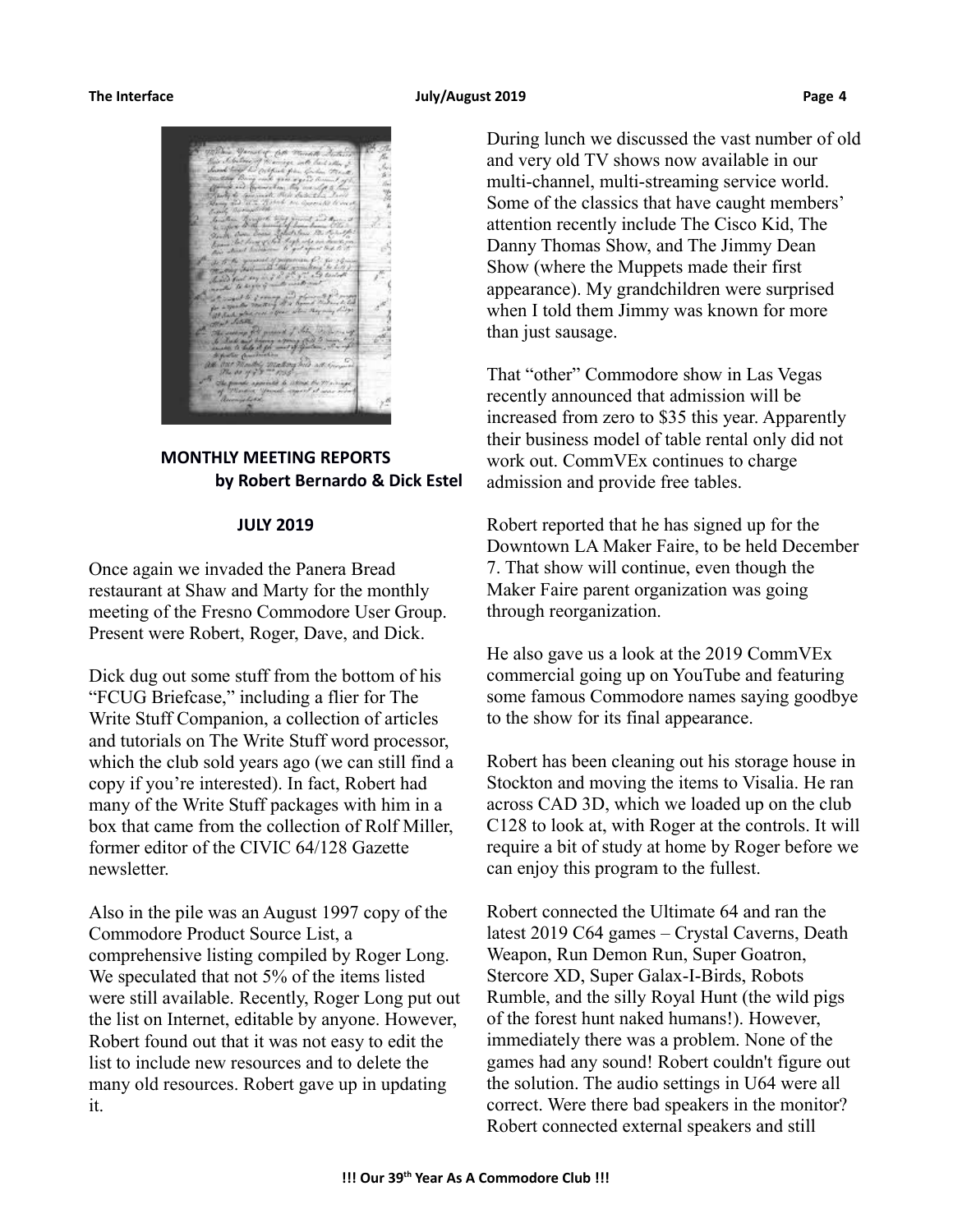#### The Interface **The Interface Construction Construction** Sulvey August 2019 **Page 4 Page 4**



**MONTHLY MEETING REPORTS by Robert Bernardo & Dick Estel**

#### **JULY 2019**

Once again we invaded the Panera Bread restaurant at Shaw and Marty for the monthly meeting of the Fresno Commodore User Group. Present were Robert, Roger, Dave, and Dick.

Dick dug out some stuff from the bottom of his "FCUG Briefcase," including a flier for The Write Stuff Companion, a collection of articles and tutorials on The Write Stuff word processor, which the club sold years ago (we can still find a copy if you're interested). In fact, Robert had many of the Write Stuff packages with him in a box that came from the collection of Rolf Miller, former editor of the CIVIC 64/128 Gazette newsletter.

Also in the pile was an August 1997 copy of the Commodore Product Source List, a comprehensive listing compiled by Roger Long. We speculated that not 5% of the items listed were still available. Recently, Roger Long put out the list on Internet, editable by anyone. However, Robert found out that it was not easy to edit the list to include new resources and to delete the many old resources. Robert gave up in updating it.

During lunch we discussed the vast number of old and very old TV shows now available in our multi-channel, multi-streaming service world. Some of the classics that have caught members' attention recently include The Cisco Kid, The Danny Thomas Show, and The Jimmy Dean Show (where the Muppets made their first appearance). My grandchildren were surprised when I told them Jimmy was known for more than just sausage.

That "other" Commodore show in Las Vegas recently announced that admission will be increased from zero to \$35 this year. Apparently their business model of table rental only did not work out. CommVEx continues to charge admission and provide free tables.

Robert reported that he has signed up for the Downtown LA Maker Faire, to be held December 7. That show will continue, even though the Maker Faire parent organization was going through reorganization.

He also gave us a look at the 2019 CommVEx commercial going up on YouTube and featuring some famous Commodore names saying goodbye to the show for its final appearance.

Robert has been cleaning out his storage house in Stockton and moving the items to Visalia. He ran across CAD 3D, which we loaded up on the club C128 to look at, with Roger at the controls. It will require a bit of study at home by Roger before we can enjoy this program to the fullest.

Robert connected the Ultimate 64 and ran the latest 2019 C64 games – Crystal Caverns, Death Weapon, Run Demon Run, Super Goatron, Stercore XD, Super Galax-I-Birds, Robots Rumble, and the silly Royal Hunt (the wild pigs of the forest hunt naked humans!). However, immediately there was a problem. None of the games had any sound! Robert couldn't figure out the solution. The audio settings in U64 were all correct. Were there bad speakers in the monitor? Robert connected external speakers and still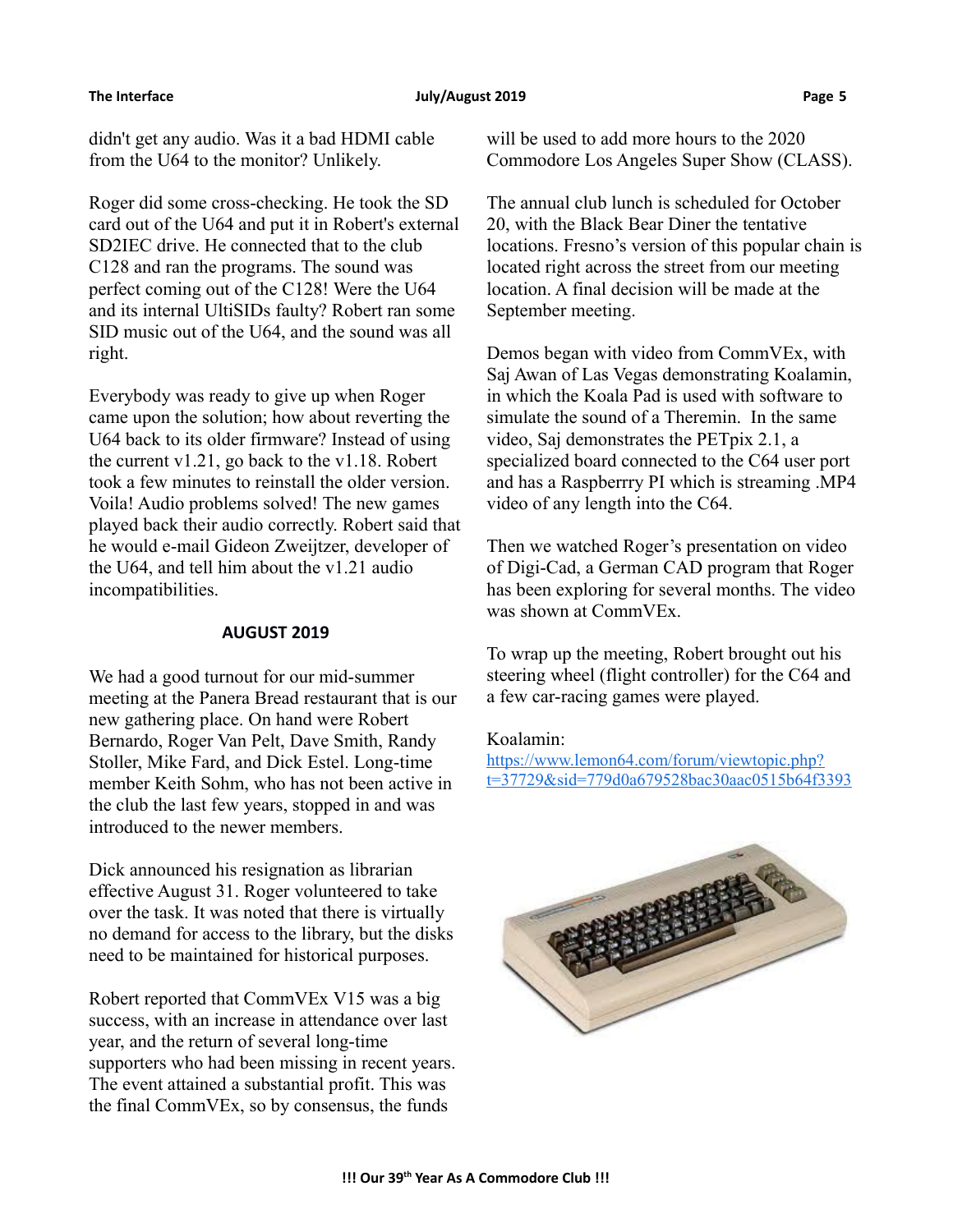#### **The Interface July/August 2019 Page 5**

didn't get any audio. Was it a bad HDMI cable from the U64 to the monitor? Unlikely.

Roger did some cross-checking. He took the SD card out of the U64 and put it in Robert's external SD2IEC drive. He connected that to the club C128 and ran the programs. The sound was perfect coming out of the C128! Were the U64 and its internal UltiSIDs faulty? Robert ran some SID music out of the U64, and the sound was all right.

Everybody was ready to give up when Roger came upon the solution; how about reverting the U64 back to its older firmware? Instead of using the current v1.21, go back to the v1.18. Robert took a few minutes to reinstall the older version. Voila! Audio problems solved! The new games played back their audio correctly. Robert said that he would e-mail Gideon Zweijtzer, developer of the U64, and tell him about the v1.21 audio incompatibilities.

### **AUGUST 2019**

We had a good turnout for our mid-summer meeting at the Panera Bread restaurant that is our new gathering place. On hand were Robert Bernardo, Roger Van Pelt, Dave Smith, Randy Stoller, Mike Fard, and Dick Estel. Long-time member Keith Sohm, who has not been active in the club the last few years, stopped in and was introduced to the newer members.

Dick announced his resignation as librarian effective August 31. Roger volunteered to take over the task. It was noted that there is virtually no demand for access to the library, but the disks need to be maintained for historical purposes.

Robert reported that CommVEx V15 was a big success, with an increase in attendance over last year, and the return of several long-time supporters who had been missing in recent years. The event attained a substantial profit. This was the final CommVEx, so by consensus, the funds

will be used to add more hours to the 2020 Commodore Los Angeles Super Show (CLASS).

The annual club lunch is scheduled for October 20, with the Black Bear Diner the tentative locations. Fresno's version of this popular chain is located right across the street from our meeting location. A final decision will be made at the September meeting.

Demos began with video from CommVEx, with Saj Awan of Las Vegas demonstrating Koalamin, in which the Koala Pad is used with software to simulate the sound of a Theremin. In the same video, Saj demonstrates the PETpix 2.1, a specialized board connected to the C64 user port and has a Raspberrry PI which is streaming .MP4 video of any length into the C64.

Then we watched Roger's presentation on video of Digi-Cad, a German CAD program that Roger has been exploring for several months. The video was shown at CommVEx.

To wrap up the meeting, Robert brought out his steering wheel (flight controller) for the C64 and a few car-racing games were played.

### Koalamin:

[https://www.lemon64.com/forum/viewtopic.php?](https://www.lemon64.com/forum/viewtopic.php?t=37729&sid=779d0a679528bac30aac0515b64f3393) [t=37729&sid=779d0a679528bac30aac0515b64f3393](https://www.lemon64.com/forum/viewtopic.php?t=37729&sid=779d0a679528bac30aac0515b64f3393)

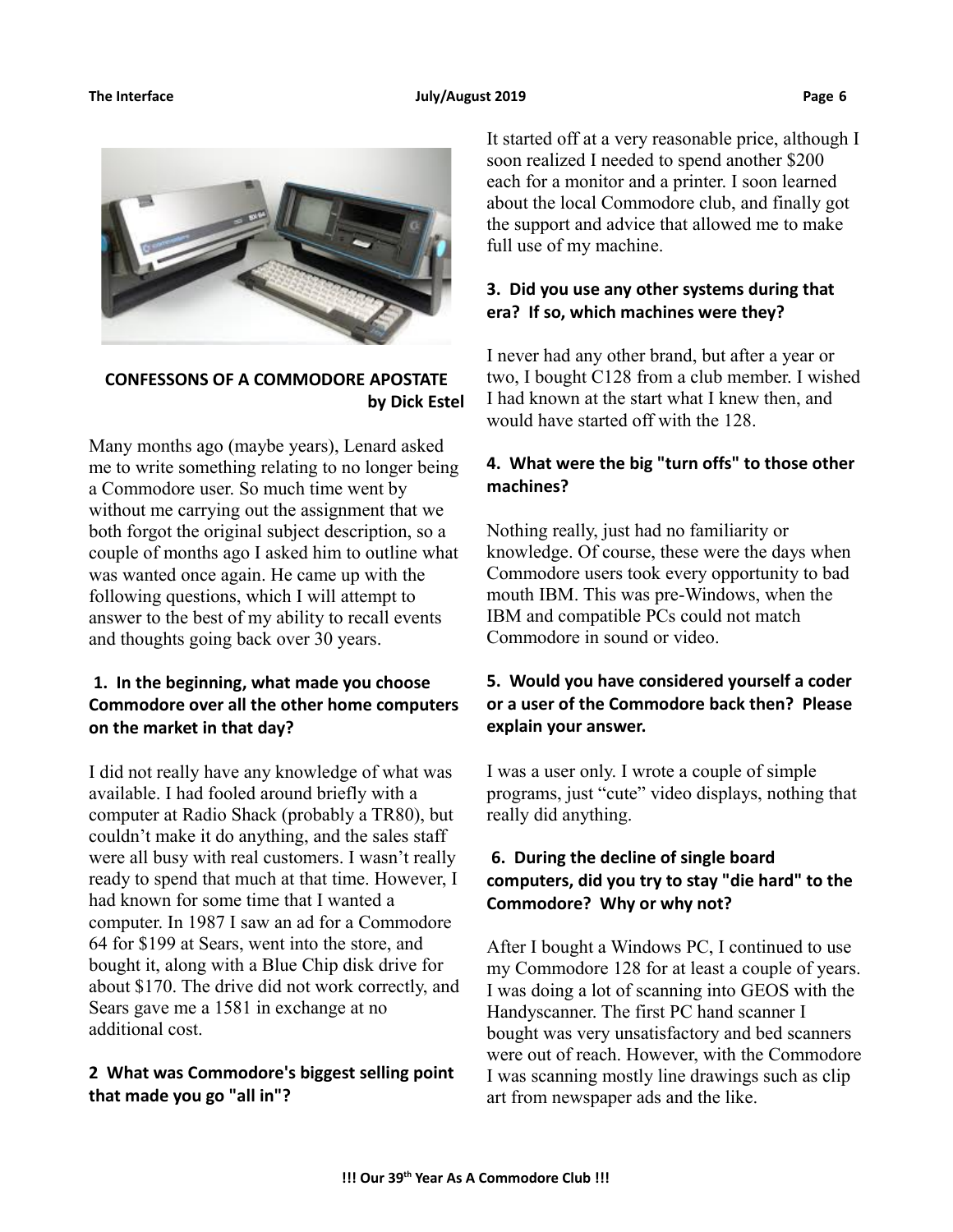#### **The Interface The Contract Contract 2019 Page 6 Page 6 Page 6 Page 6 Page 6**



## **CONFESSONS OF A COMMODORE APOSTATE by Dick Estel**

Many months ago (maybe years), Lenard asked me to write something relating to no longer being a Commodore user. So much time went by without me carrying out the assignment that we both forgot the original subject description, so a couple of months ago I asked him to outline what was wanted once again. He came up with the following questions, which I will attempt to answer to the best of my ability to recall events and thoughts going back over 30 years.

## **1. In the beginning, what made you choose Commodore over all the other home computers on the market in that day?**

I did not really have any knowledge of what was available. I had fooled around briefly with a computer at Radio Shack (probably a TR80), but couldn't make it do anything, and the sales staff were all busy with real customers. I wasn't really ready to spend that much at that time. However, I had known for some time that I wanted a computer. In 1987 I saw an ad for a Commodore 64 for \$199 at Sears, went into the store, and bought it, along with a Blue Chip disk drive for about \$170. The drive did not work correctly, and Sears gave me a 1581 in exchange at no additional cost.

## **2 What was Commodore's biggest selling point that made you go "all in"?**

It started off at a very reasonable price, although I soon realized I needed to spend another \$200 each for a monitor and a printer. I soon learned about the local Commodore club, and finally got the support and advice that allowed me to make full use of my machine.

## **3. Did you use any other systems during that era? If so, which machines were they?**

I never had any other brand, but after a year or two, I bought C128 from a club member. I wished I had known at the start what I knew then, and would have started off with the 128.

## **4. What were the big "turn offs" to those other machines?**

Nothing really, just had no familiarity or knowledge. Of course, these were the days when Commodore users took every opportunity to bad mouth IBM. This was pre-Windows, when the IBM and compatible PCs could not match Commodore in sound or video.

## **5. Would you have considered yourself a coder or a user of the Commodore back then? Please explain your answer.**

I was a user only. I wrote a couple of simple programs, just "cute" video displays, nothing that really did anything.

## **6. During the decline of single board computers, did you try to stay "die hard" to the Commodore? Why or why not?**

After I bought a Windows PC, I continued to use my Commodore 128 for at least a couple of years. I was doing a lot of scanning into GEOS with the Handyscanner. The first PC hand scanner I bought was very unsatisfactory and bed scanners were out of reach. However, with the Commodore I was scanning mostly line drawings such as clip art from newspaper ads and the like.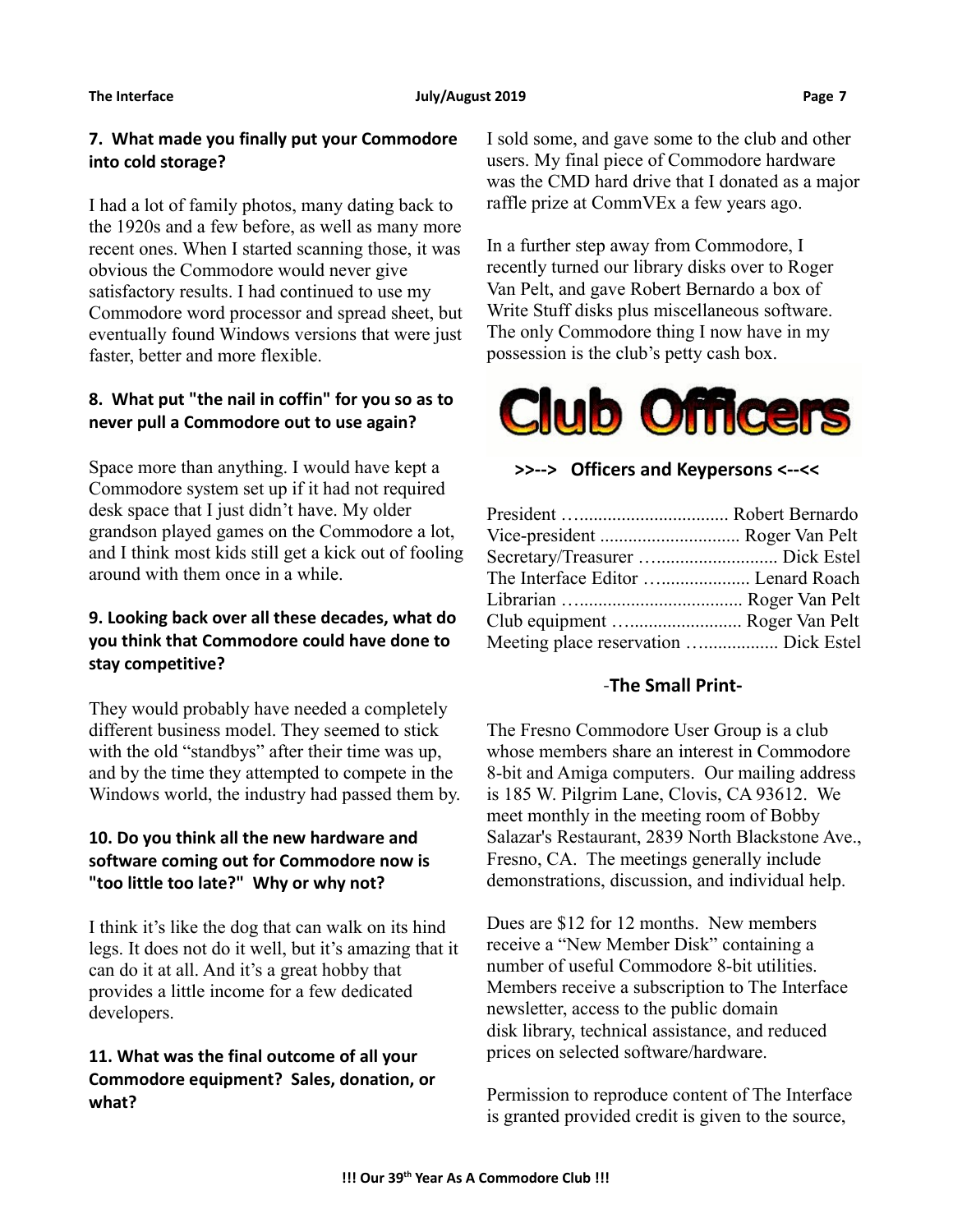#### **The Interface The Construction Construction Construction Construction Page 7** and During Page 7

## **7. What made you finally put your Commodore into cold storage?**

I had a lot of family photos, many dating back to the 1920s and a few before, as well as many more recent ones. When I started scanning those, it was obvious the Commodore would never give satisfactory results. I had continued to use my Commodore word processor and spread sheet, but eventually found Windows versions that were just faster, better and more flexible.

# **8. What put "the nail in coffin" for you so as to never pull a Commodore out to use again?**

Space more than anything. I would have kept a Commodore system set up if it had not required desk space that I just didn't have. My older grandson played games on the Commodore a lot, and I think most kids still get a kick out of fooling around with them once in a while.

# **9. Looking back over all these decades, what do you think that Commodore could have done to stay competitive?**

They would probably have needed a completely different business model. They seemed to stick with the old "standbys" after their time was up, and by the time they attempted to compete in the Windows world, the industry had passed them by.

# **10. Do you think all the new hardware and software coming out for Commodore now is "too little too late?" Why or why not?**

I think it's like the dog that can walk on its hind legs. It does not do it well, but it's amazing that it can do it at all. And it's a great hobby that provides a little income for a few dedicated developers.

# **11. What was the final outcome of all your Commodore equipment? Sales, donation, or what?**

I sold some, and gave some to the club and other users. My final piece of Commodore hardware was the CMD hard drive that I donated as a major raffle prize at CommVEx a few years ago.

In a further step away from Commodore, I recently turned our library disks over to Roger Van Pelt, and gave Robert Bernardo a box of Write Stuff disks plus miscellaneous software. The only Commodore thing I now have in my possession is the club's petty cash box.



# **>>--> Officers and Keypersons <--<<**

| Vice-president  Roger Van Pelt        |
|---------------------------------------|
|                                       |
| The Interface Editor  Lenard Roach    |
|                                       |
| Club equipment  Roger Van Pelt        |
| Meeting place reservation  Dick Estel |
|                                       |

## -**The Small Print-**

The Fresno Commodore User Group is a club whose members share an interest in Commodore 8-bit and Amiga computers. Our mailing address is 185 W. Pilgrim Lane, Clovis, CA 93612. We meet monthly in the meeting room of Bobby Salazar's Restaurant, 2839 North Blackstone Ave., Fresno, CA. The meetings generally include demonstrations, discussion, and individual help.

Dues are \$12 for 12 months. New members receive a "New Member Disk" containing a number of useful Commodore 8-bit utilities. Members receive a subscription to The Interface newsletter, access to the public domain disk library, technical assistance, and reduced prices on selected software/hardware.

Permission to reproduce content of The Interface is granted provided credit is given to the source,